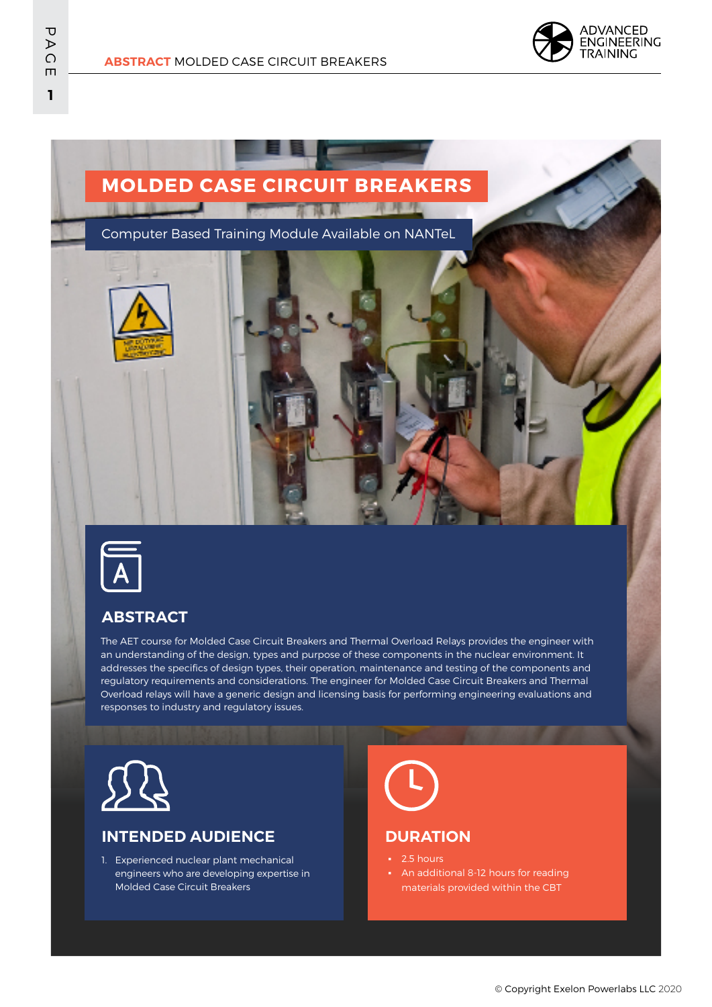

**ADVANCED** 



**ABSTRACT** MOLDED CASE CIRCUIT BREAKERS



# **ABSTRACT**

The AET course for Molded Case Circuit Breakers and Thermal Overload Relays provides the engineer with an understanding of the design, types and purpose of these components in the nuclear environment. It addresses the specifics of design types, their operation, maintenance and testing of the components and regulatory requirements and considerations. The engineer for Molded Case Circuit Breakers and Thermal Overload relays will have a generic design and licensing basis for performing engineering evaluations and responses to industry and regulatory issues.



# **INTENDED AUDIENCE**

1. Experienced nuclear plant mechanical engineers who are developing expertise in Molded Case Circuit Breakers

#### **DURATION**

- 2.5 hours
- **•** An additional 8-12 hours for reading materials provided within the CBT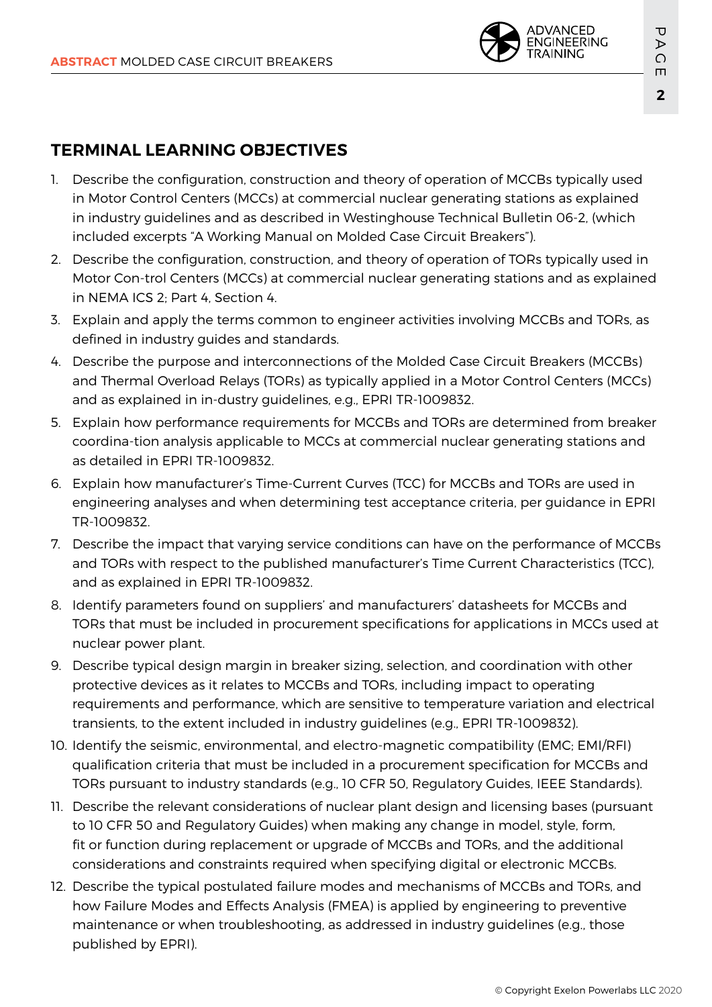

# **TERMINAL LEARNING OBJECTIVES**

- 1. Describe the configuration, construction and theory of operation of MCCBs typically used in Motor Control Centers (MCCs) at commercial nuclear generating stations as explained in industry guidelines and as described in Westinghouse Technical Bulletin 06-2, (which included excerpts "A Working Manual on Molded Case Circuit Breakers").
- 2. Describe the configuration, construction, and theory of operation of TORs typically used in Motor Con-trol Centers (MCCs) at commercial nuclear generating stations and as explained in NEMA ICS 2; Part 4, Section 4.
- 3. Explain and apply the terms common to engineer activities involving MCCBs and TORs, as defined in industry guides and standards.
- 4. Describe the purpose and interconnections of the Molded Case Circuit Breakers (MCCBs) and Thermal Overload Relays (TORs) as typically applied in a Motor Control Centers (MCCs) and as explained in in-dustry guidelines, e.g., EPRI TR-1009832.
- 5. Explain how performance requirements for MCCBs and TORs are determined from breaker coordina-tion analysis applicable to MCCs at commercial nuclear generating stations and as detailed in EPRI TR-1009832.
- 6. Explain how manufacturer's Time-Current Curves (TCC) for MCCBs and TORs are used in engineering analyses and when determining test acceptance criteria, per guidance in EPRI TR-1009832.
- 7. Describe the impact that varying service conditions can have on the performance of MCCBs and TORs with respect to the published manufacturer's Time Current Characteristics (TCC), and as explained in EPRI TR-1009832.
- 8. Identify parameters found on suppliers' and manufacturers' datasheets for MCCBs and TORs that must be included in procurement specifications for applications in MCCs used at nuclear power plant.
- 9. Describe typical design margin in breaker sizing, selection, and coordination with other protective devices as it relates to MCCBs and TORs, including impact to operating requirements and performance, which are sensitive to temperature variation and electrical transients, to the extent included in industry guidelines (e.g., EPRI TR-1009832).
- 10. Identify the seismic, environmental, and electro-magnetic compatibility (EMC; EMI/RFI) qualification criteria that must be included in a procurement specification for MCCBs and TORs pursuant to industry standards (e.g., 10 CFR 50, Regulatory Guides, IEEE Standards).
- 11. Describe the relevant considerations of nuclear plant design and licensing bases (pursuant to 10 CFR 50 and Regulatory Guides) when making any change in model, style, form, fit or function during replacement or upgrade of MCCBs and TORs, and the additional considerations and constraints required when specifying digital or electronic MCCBs.
- 12. Describe the typical postulated failure modes and mechanisms of MCCBs and TORs, and how Failure Modes and Effects Analysis (FMEA) is applied by engineering to preventive maintenance or when troubleshooting, as addressed in industry guidelines (e.g., those published by EPRI).